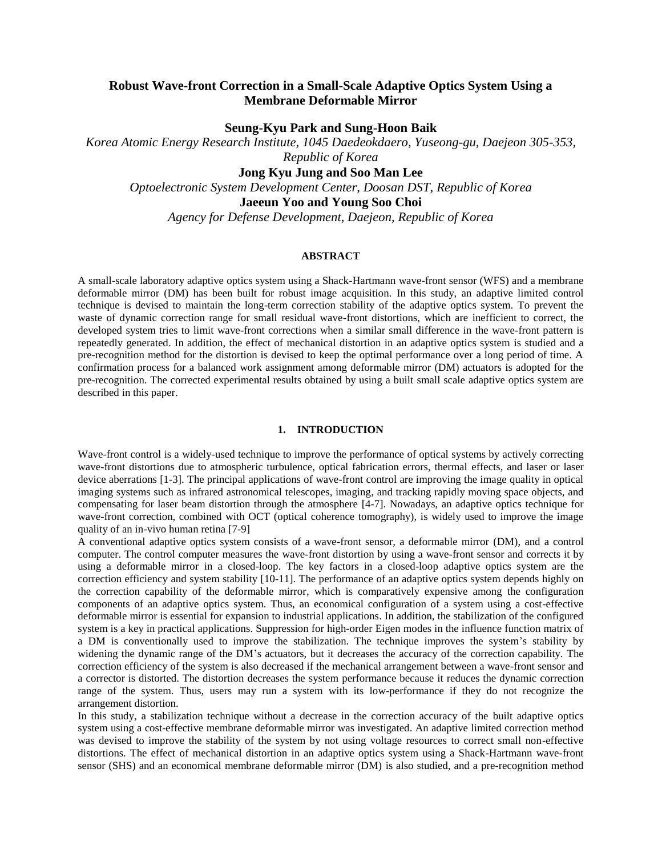# **Robust Wave-front Correction in a Small-Scale Adaptive Optics System Using a Membrane Deformable Mirror**

**Seung-Kyu Park and Sung-Hoon Baik**

*Korea Atomic Energy Research Institute, 1045 Daedeokdaero, Yuseong-gu, Daejeon 305-353, Republic of Korea*

**Jong Kyu Jung and Soo Man Lee**

*Optoelectronic System Development Center, Doosan DST, Republic of Korea*

**Jaeeun Yoo and Young Soo Choi**

*Agency for Defense Development, Daejeon, Republic of Korea*

# **ABSTRACT**

A small-scale laboratory adaptive optics system using a Shack-Hartmann wave-front sensor (WFS) and a membrane deformable mirror (DM) has been built for robust image acquisition. In this study, an adaptive limited control technique is devised to maintain the long-term correction stability of the adaptive optics system. To prevent the waste of dynamic correction range for small residual wave-front distortions, which are inefficient to correct, the developed system tries to limit wave-front corrections when a similar small difference in the wave-front pattern is repeatedly generated. In addition, the effect of mechanical distortion in an adaptive optics system is studied and a pre-recognition method for the distortion is devised to keep the optimal performance over a long period of time. A confirmation process for a balanced work assignment among deformable mirror (DM) actuators is adopted for the pre-recognition. The corrected experimental results obtained by using a built small scale adaptive optics system are described in this paper.

### **1. INTRODUCTION**

Wave-front control is a widely-used technique to improve the performance of optical systems by actively correcting wave-front distortions due to atmospheric turbulence, optical fabrication errors, thermal effects, and laser or laser device aberrations [1-3]. The principal applications of wave-front control are improving the image quality in optical imaging systems such as infrared astronomical telescopes, imaging, and tracking rapidly moving space objects, and compensating for laser beam distortion through the atmosphere [4-7]. Nowadays, an adaptive optics technique for wave-front correction, combined with OCT (optical coherence tomography), is widely used to improve the image quality of an in-vivo human retina [7-9]

A conventional adaptive optics system consists of a wave-front sensor, a deformable mirror (DM), and a control computer. The control computer measures the wave-front distortion by using a wave-front sensor and corrects it by using a deformable mirror in a closed-loop. The key factors in a closed-loop adaptive optics system are the correction efficiency and system stability [10-11]. The performance of an adaptive optics system depends highly on the correction capability of the deformable mirror, which is comparatively expensive among the configuration components of an adaptive optics system. Thus, an economical configuration of a system using a cost-effective deformable mirror is essential for expansion to industrial applications. In addition, the stabilization of the configured system is a key in practical applications. Suppression for high-order Eigen modes in the influence function matrix of a DM is conventionally used to improve the stabilization. The technique improves the system's stability by widening the dynamic range of the DM's actuators, but it decreases the accuracy of the correction capability. The correction efficiency of the system is also decreased if the mechanical arrangement between a wave-front sensor and a corrector is distorted. The distortion decreases the system performance because it reduces the dynamic correction range of the system. Thus, users may run a system with its low-performance if they do not recognize the arrangement distortion.

In this study, a stabilization technique without a decrease in the correction accuracy of the built adaptive optics system using a cost-effective membrane deformable mirror was investigated. An adaptive limited correction method was devised to improve the stability of the system by not using voltage resources to correct small non-effective distortions. The effect of mechanical distortion in an adaptive optics system using a Shack-Hartmann wave-front sensor (SHS) and an economical membrane deformable mirror (DM) is also studied, and a pre-recognition method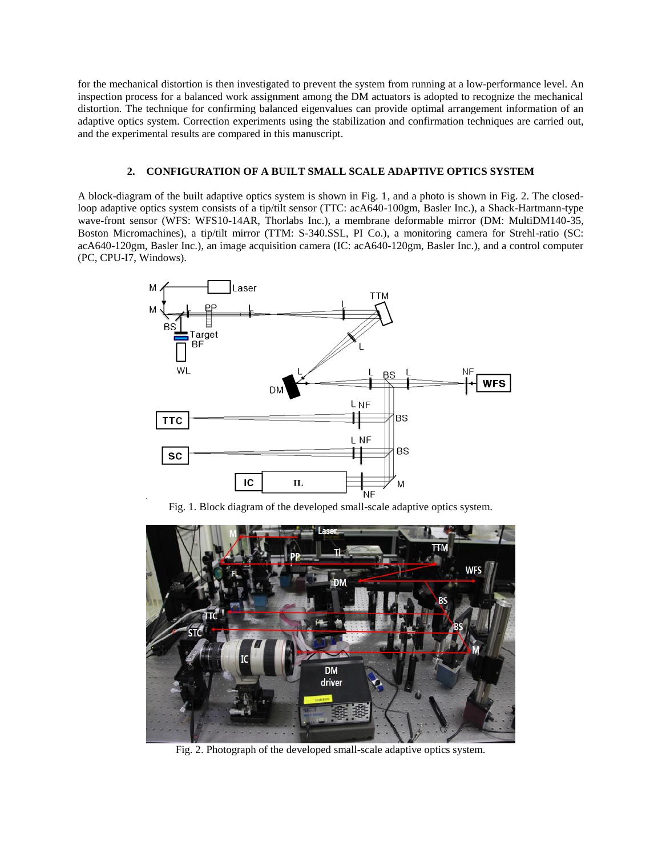for the mechanical distortion is then investigated to prevent the system from running at a low-performance level. An inspection process for a balanced work assignment among the DM actuators is adopted to recognize the mechanical distortion. The technique for confirming balanced eigenvalues can provide optimal arrangement information of an adaptive optics system. Correction experiments using the stabilization and confirmation techniques are carried out, and the experimental results are compared in this manuscript.

### **2. CONFIGURATION OF A BUILT SMALL SCALE ADAPTIVE OPTICS SYSTEM**

A block-diagram of the built adaptive optics system is shown in Fig. 1, and a photo is shown in Fig. 2. The closedloop adaptive optics system consists of a tip/tilt sensor (TTC: acA640-100gm, Basler Inc.), a Shack-Hartmann-type wave-front sensor (WFS: WFS10-14AR, Thorlabs Inc.), a membrane deformable mirror (DM: MultiDM140-35, Boston Micromachines), a tip/tilt mirror (TTM: S-340.SSL, PI Co.), a monitoring camera for Strehl-ratio (SC: acA640-120gm, Basler Inc.), an image acquisition camera (IC: acA640-120gm, Basler Inc.), and a control computer (PC, CPU-I7, Windows).



Fig. 1. Block diagram of the developed small-scale adaptive optics system.



Fig. 2. Photograph of the developed small-scale adaptive optics system.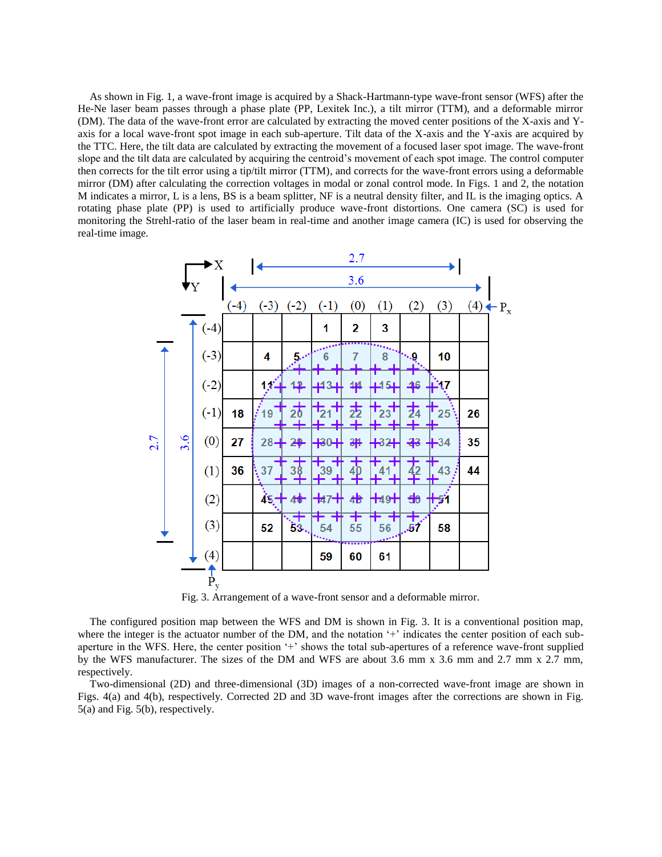As shown in Fig. 1, a wave-front image is acquired by a Shack-Hartmann-type wave-front sensor (WFS) after the He-Ne laser beam passes through a phase plate (PP, Lexitek Inc.), a tilt mirror (TTM), and a deformable mirror (DM). The data of the wave-front error are calculated by extracting the moved center positions of the X-axis and Yaxis for a local wave-front spot image in each sub-aperture. Tilt data of the X-axis and the Y-axis are acquired by the TTC. Here, the tilt data are calculated by extracting the movement of a focused laser spot image. The wave-front slope and the tilt data are calculated by acquiring the centroid's movement of each spot image. The control computer then corrects for the tilt error using a tip/tilt mirror (TTM), and corrects for the wave-front errors using a deformable mirror (DM) after calculating the correction voltages in modal or zonal control mode. In Figs. 1 and 2, the notation M indicates a mirror, L is a lens, BS is a beam splitter, NF is a neutral density filter, and IL is the imaging optics. A rotating phase plate (PP) is used to artificially produce wave-front distortions. One camera (SC) is used for monitoring the Strehl-ratio of the laser beam in real-time and another image camera (IC) is used for observing the real-time image.

|     |     | ►X            |        |        |                |                       | 2.7     |                   |               |                                    |    |                      |
|-----|-----|---------------|--------|--------|----------------|-----------------------|---------|-------------------|---------------|------------------------------------|----|----------------------|
|     | VY  |               | 3.6    |        |                |                       |         |                   |               |                                    |    |                      |
|     |     |               | $(-4)$ | $(-3)$ | $(-2)$         | $(-1)$                | (0)     | (1)               | (2)           | (3)                                |    | $(4) \leftarrow P_x$ |
|     |     | $(-4)$        |        |        |                | 1                     | 2       | 3                 |               |                                    |    |                      |
| 2.7 | 3.6 | $(-3)$        |        | 4      | سيو            | 6                     |         | 8                 | ۰.9           | 10                                 |    |                      |
|     |     | $(-2)$        |        | 18)    | <u> 12</u>     | #34                   | 44      | ∔15+              | 46            | ₩17                                |    |                      |
|     |     | $(-1)$        | 18     | /19    | $\vec{z}$      | $\frac{1}{21}$        | 志       | $\mathsf{T}_{23}$ | 力<br>半        | $\textcolor{red}{\dagger}$ 25<br>ᆂ | 26 |                      |
|     |     | (0)           | 27     |        | $28 + 29$      | ╬                     | 斗       | ₩32               | ╬             | $+34$                              | 35 |                      |
|     |     | (1)           | 36     | 37     |                | 39                    |         |                   |               | 43<br>╫                            | 44 |                      |
|     |     | (2)           |        | $45 -$ | 46             | ቱ7ᆊ                   | 4       | $+49+$            | 40            | 7                                  |    |                      |
|     |     | (3)           |        | 52     | $\frac{1}{33}$ | $\frac{1}{54}$<br>٠., | 肀<br>55 | ∓<br>56<br>المعمو | $\frac{+}{s}$ | 58                                 |    |                      |
|     |     | (4)           |        |        |                | 59                    | 60      | 61                |               |                                    |    |                      |
|     |     | $\dot{P}_{y}$ |        |        |                |                       |         |                   |               |                                    |    |                      |

Fig. 3. Arrangement of a wave-front sensor and a deformable mirror.

The configured position map between the WFS and DM is shown in Fig. 3. It is a conventional position map, where the integer is the actuator number of the DM, and the notation '+' indicates the center position of each subaperture in the WFS. Here, the center position '+' shows the total sub-apertures of a reference wave-front supplied by the WFS manufacturer. The sizes of the DM and WFS are about 3.6 mm x 3.6 mm and 2.7 mm x 2.7 mm, respectively.

Two-dimensional (2D) and three-dimensional (3D) images of a non-corrected wave-front image are shown in Figs. 4(a) and 4(b), respectively. Corrected 2D and 3D wave-front images after the corrections are shown in Fig. 5(a) and Fig. 5(b), respectively.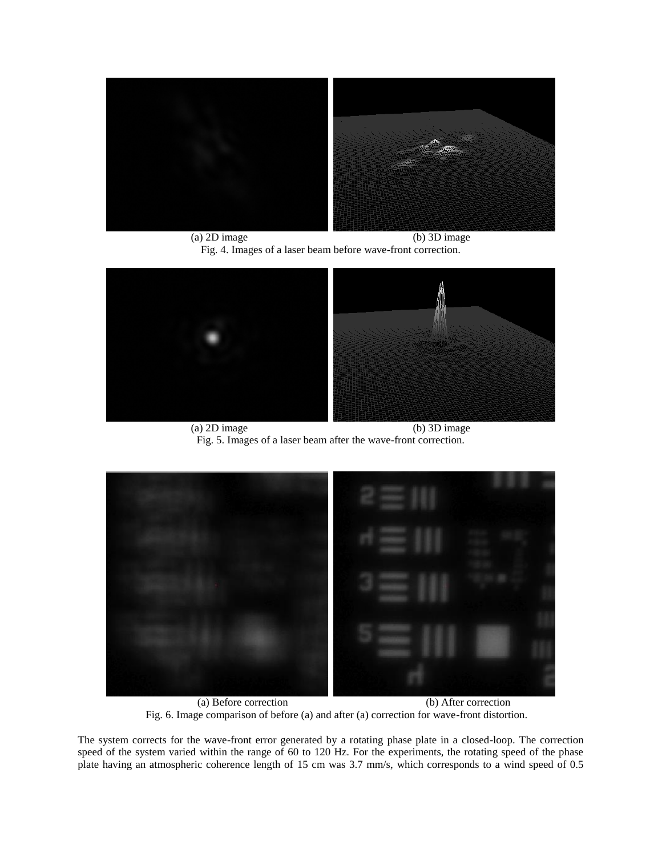

(a) 2D image (b) 3D image Fig. 4. Images of a laser beam before wave-front correction.



(a) 2D image (b) 3D image Fig. 5. Images of a laser beam after the wave-front correction.



(a) Before correction (b) After correction Fig. 6. Image comparison of before (a) and after (a) correction for wave-front distortion.

The system corrects for the wave-front error generated by a rotating phase plate in a closed-loop. The correction speed of the system varied within the range of 60 to 120 Hz. For the experiments, the rotating speed of the phase plate having an atmospheric coherence length of 15 cm was 3.7 mm/s, which corresponds to a wind speed of 0.5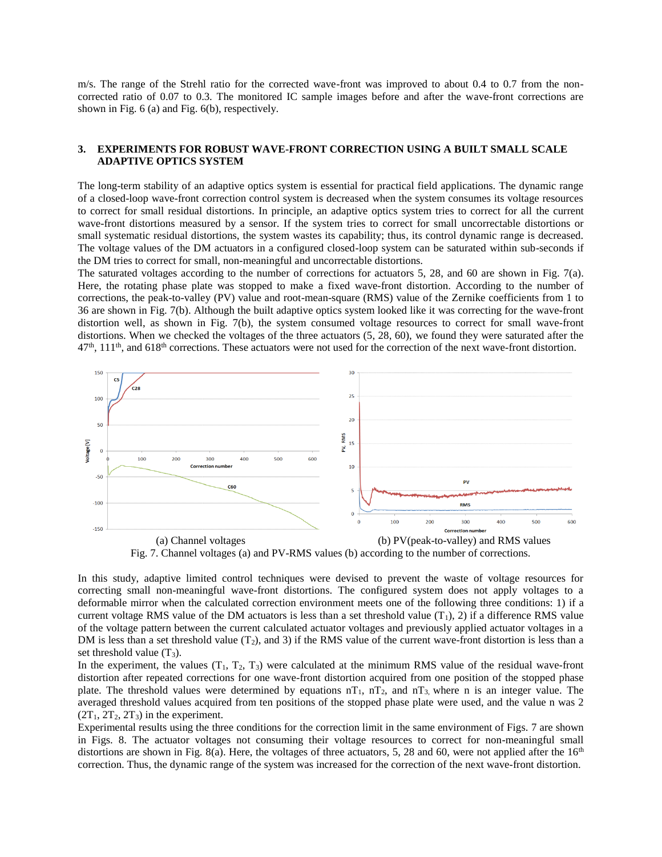m/s. The range of the Strehl ratio for the corrected wave-front was improved to about 0.4 to 0.7 from the noncorrected ratio of 0.07 to 0.3. The monitored IC sample images before and after the wave-front corrections are shown in Fig. 6 (a) and Fig. 6(b), respectively.

### **3. EXPERIMENTS FOR ROBUST WAVE-FRONT CORRECTION USING A BUILT SMALL SCALE ADAPTIVE OPTICS SYSTEM**

The long-term stability of an adaptive optics system is essential for practical field applications. The dynamic range of a closed-loop wave-front correction control system is decreased when the system consumes its voltage resources to correct for small residual distortions. In principle, an adaptive optics system tries to correct for all the current wave-front distortions measured by a sensor. If the system tries to correct for small uncorrectable distortions or small systematic residual distortions, the system wastes its capability; thus, its control dynamic range is decreased. The voltage values of the DM actuators in a configured closed-loop system can be saturated within sub-seconds if the DM tries to correct for small, non-meaningful and uncorrectable distortions.

The saturated voltages according to the number of corrections for actuators 5, 28, and 60 are shown in Fig. 7(a). Here, the rotating phase plate was stopped to make a fixed wave-front distortion. According to the number of corrections, the peak-to-valley (PV) value and root-mean-square (RMS) value of the Zernike coefficients from 1 to 36 are shown in Fig. 7(b). Although the built adaptive optics system looked like it was correcting for the wave-front distortion well, as shown in Fig. 7(b), the system consumed voltage resources to correct for small wave-front distortions. When we checked the voltages of the three actuators (5, 28, 60), we found they were saturated after the  $47<sup>th</sup>$ ,  $111<sup>th</sup>$ , and  $618<sup>th</sup>$  corrections. These actuators were not used for the correction of the next wave-front distortion.



Fig. 7. Channel voltages (a) and PV-RMS values (b) according to the number of corrections.

In this study, adaptive limited control techniques were devised to prevent the waste of voltage resources for correcting small non-meaningful wave-front distortions. The configured system does not apply voltages to a deformable mirror when the calculated correction environment meets one of the following three conditions: 1) if a current voltage RMS value of the DM actuators is less than a set threshold value  $(T_1)$ , 2) if a difference RMS value of the voltage pattern between the current calculated actuator voltages and previously applied actuator voltages in a DM is less than a set threshold value  $(T_2)$ , and 3) if the RMS value of the current wave-front distortion is less than a set threshold value  $(T_3)$ .

In the experiment, the values  $(T_1, T_2, T_3)$  were calculated at the minimum RMS value of the residual wave-front distortion after repeated corrections for one wave-front distortion acquired from one position of the stopped phase plate. The threshold values were determined by equations  $nT_1$ ,  $nT_2$ , and  $nT_3$ , where n is an integer value. The averaged threshold values acquired from ten positions of the stopped phase plate were used, and the value n was 2  $(2T_1, 2T_2, 2T_3)$  in the experiment.

Experimental results using the three conditions for the correction limit in the same environment of Figs. 7 are shown in Figs. 8. The actuator voltages not consuming their voltage resources to correct for non-meaningful small distortions are shown in Fig. 8(a). Here, the voltages of three actuators, 5, 28 and 60, were not applied after the  $16<sup>th</sup>$ correction. Thus, the dynamic range of the system was increased for the correction of the next wave-front distortion.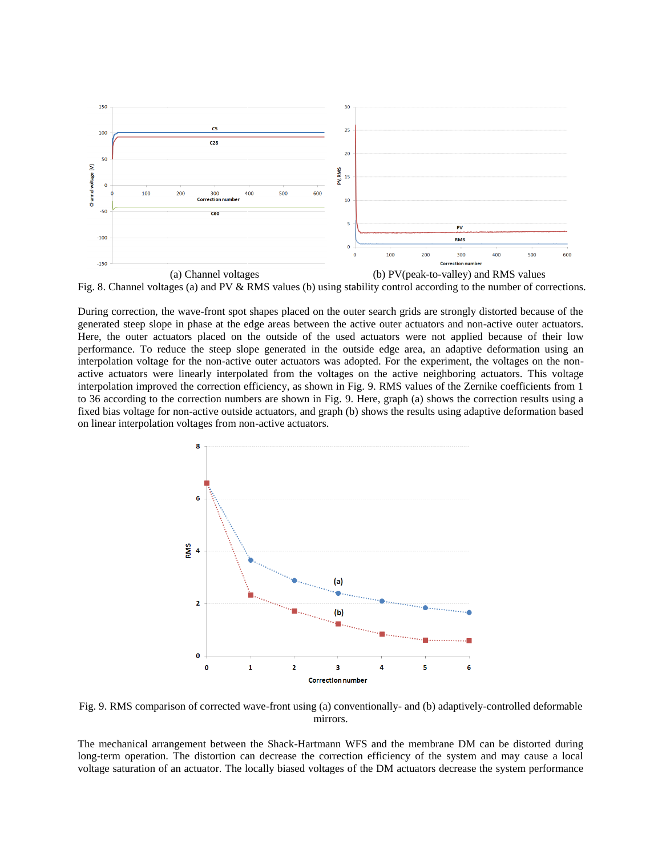

Fig. 8. Channel voltages (a) and PV & RMS values (b) using stability control according to the number of corrections.

During correction, the wave-front spot shapes placed on the outer search grids are strongly distorted because of the generated steep slope in phase at the edge areas between the active outer actuators and non-active outer actuators. Here, the outer actuators placed on the outside of the used actuators were not applied because of their low performance. To reduce the steep slope generated in the outside edge area, an adaptive deformation using an interpolation voltage for the non-active outer actuators was adopted. For the experiment, the voltages on the nonactive actuators were linearly interpolated from the voltages on the active neighboring actuators. This voltage interpolation improved the correction efficiency, as shown in Fig. 9. RMS values of the Zernike coefficients from 1 to 36 according to the correction numbers are shown in Fig. 9. Here, graph (a) shows the correction results using a fixed bias voltage for non-active outside actuators, and graph (b) shows the results using adaptive deformation based on linear interpolation voltages from non-active actuators.



Fig. 9. RMS comparison of corrected wave-front using (a) conventionally- and (b) adaptively-controlled deformable mirrors.

The mechanical arrangement between the Shack-Hartmann WFS and the membrane DM can be distorted during long-term operation. The distortion can decrease the correction efficiency of the system and may cause a local voltage saturation of an actuator. The locally biased voltages of the DM actuators decrease the system performance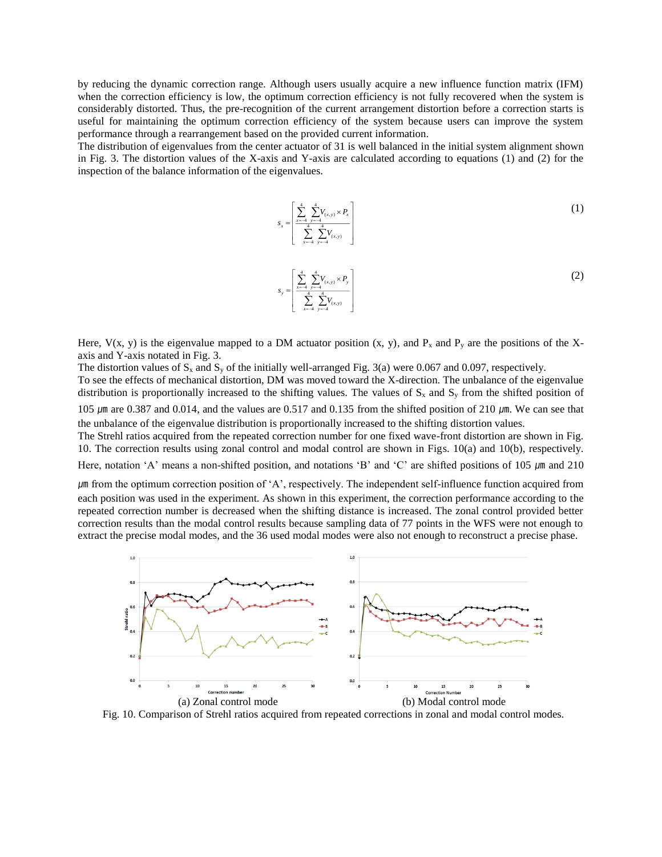by reducing the dynamic correction range. Although users usually acquire a new influence function matrix (IFM) when the correction efficiency is low, the optimum correction efficiency is not fully recovered when the system is considerably distorted. Thus, the pre-recognition of the current arrangement distortion before a correction starts is useful for maintaining the optimum correction efficiency of the system because users can improve the system performance through a rearrangement based on the provided current information.

The distribution of eigenvalues from the center actuator of 31 is well balanced in the initial system alignment shown in Fig. 3. The distortion values of the X-axis and Y-axis are calculated according to equations (1) and (2) for the inspection of the balance information of the eigenvalues.

$$
S_x = \left[ \frac{\sum_{x=-4}^{4} \sum_{y=-4}^{4} V_{(x,y)} \times P_x}{\sum_{x=-4}^{4} \sum_{y=-4}^{4} V_{(x,y)}} \right]
$$
(1)

$$
S_{y} = \left[ \frac{\sum_{x=-4}^{4} \sum_{y=-4}^{4} V_{(x,y)} \times P_{y}}{\sum_{x=-4}^{4} \sum_{y=-4}^{4} V_{(x,y)}} \right]
$$
(2)

Here,  $V(x, y)$  is the eigenvalue mapped to a DM actuator position  $(x, y)$ , and  $P_x$  and  $P_y$  are the positions of the Xaxis and Y-axis notated in Fig. 3.

The distortion values of  $S_x$  and  $S_y$  of the initially well-arranged Fig. 3(a) were 0.067 and 0.097, respectively.

To see the effects of mechanical distortion, DM was moved toward the X-direction. The unbalance of the eigenvalue distribution is proportionally increased to the shifting values. The values of  $S_x$  and  $S_y$  from the shifted position of 105  $\mu$ m are 0.387 and 0.014, and the values are 0.517 and 0.135 from the shifted position of 210  $\mu$ m. We can see that the unbalance of the eigenvalue distribution is proportionally increased to the shifting distortion values.

The Strehl ratios acquired from the repeated correction number for one fixed wave-front distortion are shown in Fig. 10. The correction results using zonal control and modal control are shown in Figs. 10(a) and 10(b), respectively.

Here, notation 'A' means a non-shifted position, and notations 'B' and 'C' are shifted positions of 105  $\mu$ m and 210

㎛ from the optimum correction position of 'A', respectively. The independent self-influence function acquired from each position was used in the experiment. As shown in this experiment, the correction performance according to the repeated correction number is decreased when the shifting distance is increased. The zonal control provided better correction results than the modal control results because sampling data of 77 points in the WFS were not enough to extract the precise modal modes, and the 36 used modal modes were also not enough to reconstruct a precise phase.



Fig. 10. Comparison of Strehl ratios acquired from repeated corrections in zonal and modal control modes.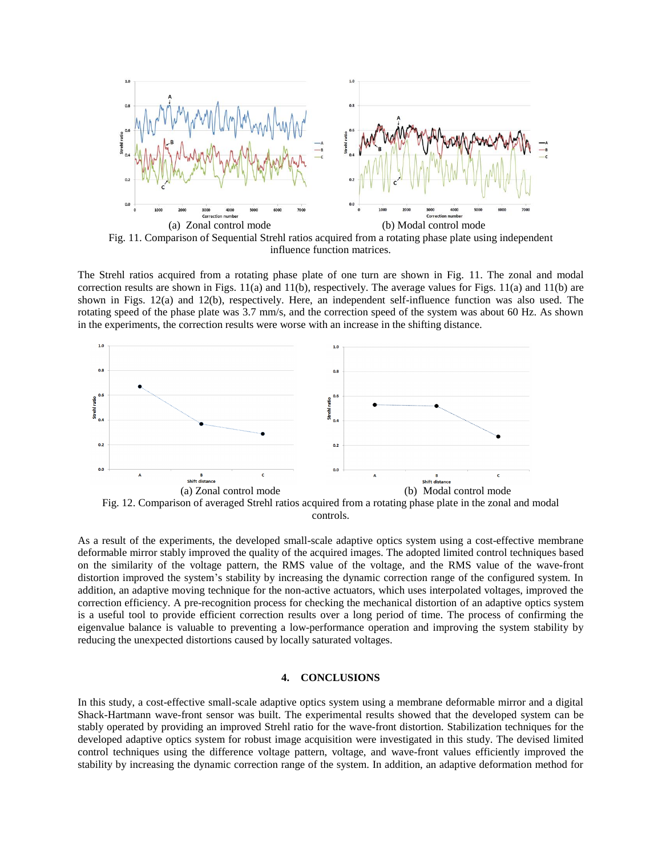

Fig. 11. Comparison of Sequential Strehl ratios acquired from a rotating phase plate using independent influence function matrices.

The Strehl ratios acquired from a rotating phase plate of one turn are shown in Fig. 11. The zonal and modal correction results are shown in Figs.  $11(a)$  and  $11(b)$ , respectively. The average values for Figs.  $11(a)$  and  $11(b)$  are shown in Figs. 12(a) and 12(b), respectively. Here, an independent self-influence function was also used. The rotating speed of the phase plate was 3.7 mm/s, and the correction speed of the system was about 60 Hz. As shown in the experiments, the correction results were worse with an increase in the shifting distance.



controls.

As a result of the experiments, the developed small-scale adaptive optics system using a cost-effective membrane deformable mirror stably improved the quality of the acquired images. The adopted limited control techniques based on the similarity of the voltage pattern, the RMS value of the voltage, and the RMS value of the wave-front distortion improved the system's stability by increasing the dynamic correction range of the configured system. In addition, an adaptive moving technique for the non-active actuators, which uses interpolated voltages, improved the correction efficiency. A pre-recognition process for checking the mechanical distortion of an adaptive optics system is a useful tool to provide efficient correction results over a long period of time. The process of confirming the eigenvalue balance is valuable to preventing a low-performance operation and improving the system stability by reducing the unexpected distortions caused by locally saturated voltages.

# **4. CONCLUSIONS**

In this study, a cost-effective small-scale adaptive optics system using a membrane deformable mirror and a digital Shack-Hartmann wave-front sensor was built. The experimental results showed that the developed system can be stably operated by providing an improved Strehl ratio for the wave-front distortion. Stabilization techniques for the developed adaptive optics system for robust image acquisition were investigated in this study. The devised limited control techniques using the difference voltage pattern, voltage, and wave-front values efficiently improved the stability by increasing the dynamic correction range of the system. In addition, an adaptive deformation method for